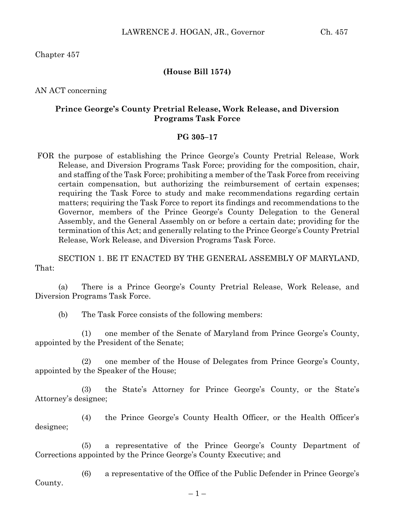Chapter 457

## **(House Bill 1574)**

AN ACT concerning

## **Prince George's County Pretrial Release, Work Release, and Diversion Programs Task Force**

## **PG 305–17**

FOR the purpose of establishing the Prince George's County Pretrial Release, Work Release, and Diversion Programs Task Force; providing for the composition, chair, and staffing of the Task Force; prohibiting a member of the Task Force from receiving certain compensation, but authorizing the reimbursement of certain expenses; requiring the Task Force to study and make recommendations regarding certain matters; requiring the Task Force to report its findings and recommendations to the Governor, members of the Prince George's County Delegation to the General Assembly, and the General Assembly on or before a certain date; providing for the termination of this Act; and generally relating to the Prince George's County Pretrial Release, Work Release, and Diversion Programs Task Force.

SECTION 1. BE IT ENACTED BY THE GENERAL ASSEMBLY OF MARYLAND, That:

(a) There is a Prince George's County Pretrial Release, Work Release, and Diversion Programs Task Force.

(b) The Task Force consists of the following members:

(1) one member of the Senate of Maryland from Prince George's County, appointed by the President of the Senate;

(2) one member of the House of Delegates from Prince George's County, appointed by the Speaker of the House;

(3) the State's Attorney for Prince George's County, or the State's Attorney's designee;

(4) the Prince George's County Health Officer, or the Health Officer's designee;

(5) a representative of the Prince George's County Department of Corrections appointed by the Prince George's County Executive; and

(6) a representative of the Office of the Public Defender in Prince George's County.